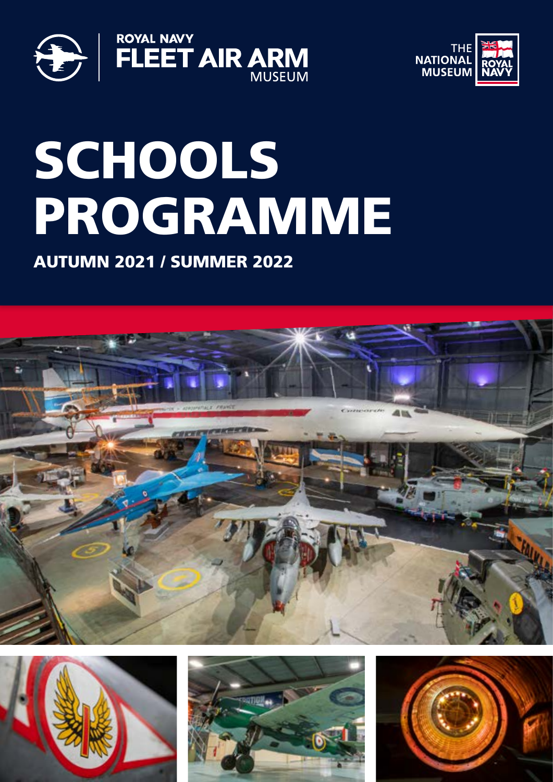



# **SCHOOLS** PROGRAMME

AUTUMN 2021 / SUMMER 2022







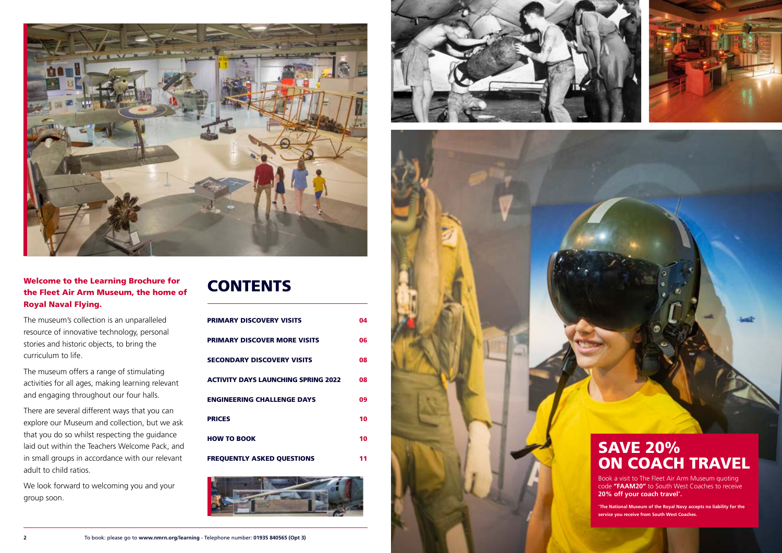



### Welcome to the Learning Brochure for the Fleet Air Arm Museum, the home of Royal Naval Flying.

The museum's collection is an unparalleled resource of innovative technology, personal stories and historic objects, to bring the curriculum to life.

We look forward to welcoming you and your group soon.

### **CONTENTS**

The museum offers a range of stimulating activities for all ages, making learning relevant and engaging throughout our four halls.

There are several different ways that you can explore our Museum and collection, but we ask that you do so whilst respecting the guidance laid out within the Teachers Welcome Pack, and in small groups in accordance with our relevant adult to child ratios.

| <b>PRIMARY DISCOVERY VISITS</b>            | 04 |
|--------------------------------------------|----|
| <b>PRIMARY DISCOVER MORE VISITS</b>        | 06 |
| <b>SECONDARY DISCOVERY VISITS</b>          | 08 |
| <b>ACTIVITY DAYS LAUNCHING SPRING 2022</b> | 08 |
| <b>ENGINEERING CHALLENGE DAYS</b>          | 09 |
| <b>PRICES</b>                              | 10 |
| <b>HOW TO BOOK</b>                         | 10 |
| <b>FREQUENTLY ASKED QUESTIONS</b>          | 11 |





![](_page_1_Picture_10.jpeg)

### SAVE 20% ON COACH TRAVEL

Book a visit to The Fleet Air Arm Museum quoting code **"FAAM20"** to South West Coaches to receive **20% off your coach travel \* .**

**\* The National Museum of the Royal Navy accepts no liability for the service you receive from South West Coaches.**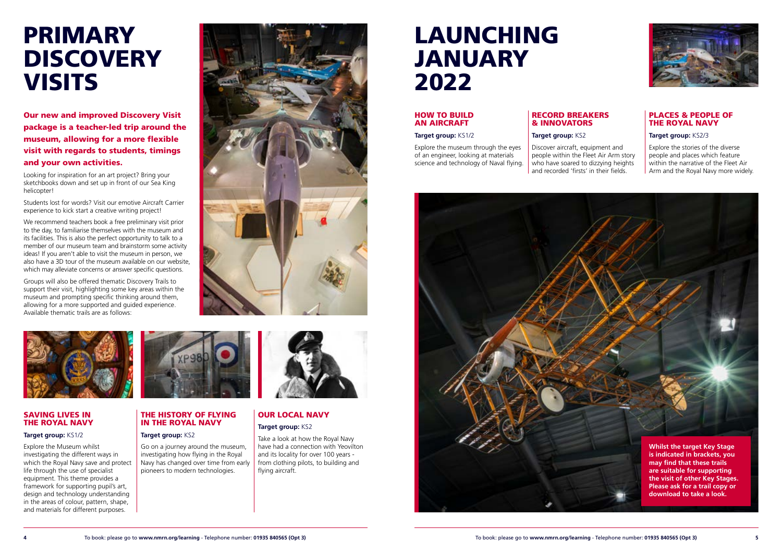![](_page_2_Picture_26.jpeg)

Our new and improved Discovery Visit package is a teacher-led trip around the museum, allowing for a more flexible visit with regards to students, timings and your own activities.

Looking for inspiration for an art project? Bring your sketchbooks down and set up in front of our Sea King helicopter!

Students lost for words? Visit our emotive Aircraft Carrier experience to kick start a creative writing project!

We recommend teachers book a free preliminary visit prior to the day, to familiarise themselves with the museum and its facilities. This is also the perfect opportunity to talk to a member of our museum team and brainstorm some activity ideas! If you aren't able to visit the museum in person, we also have a 3D tour of the museum available on our website, which may alleviate concerns or answer specific questions.

Groups will also be offered thematic Discovery Trails to support their visit, highlighting some key areas within the museum and prompting specific thinking around them, allowing for a more supported and guided experience. Available thematic trails are as follows:

![](_page_2_Picture_6.jpeg)

![](_page_2_Picture_7.jpeg)

### SAVING LIVES IN THE ROYAL NAVY

#### **Target group:** KS1/2

### <span id="page-2-0"></span>PRIMARY **DISCOVERY VISITS**

Explore the Museum whilst investigating the different ways in which the Royal Navy save and protect life through the use of specialist equipment. This theme provides a framework for supporting pupil's art, design and technology understanding in the areas of colour, pattern, shape, and materials for different purposes.

![](_page_2_Picture_11.jpeg)

THE HISTORY OF FLYING IN THE ROYAL NAVY

Go on a journey around the museum, investigating how flying in the Royal Navy has changed over time from early pioneers to modern technologies.

**Target group: KS2** 

![](_page_2_Picture_12.jpeg)

### OUR LOCAL NAVY **Target group:** KS2

Take a look at how the Royal Navy have had a connection with Yeovilton and its locality for over 100 years from clothing pilots, to building and flying aircraft.

### LAUNCHING JANUARY 2022

### HOW TO BUILD AN AIRCRAFT

### **Target group:** KS1/2

Explore the museum through the eyes of an engineer, looking at materials science and technology of Naval flying.

### RECORD BREAKERS & INNOVATORS

### **Target group:** KS2

Discover aircraft, equipment and people within the Fleet Air Arm story who have soared to dizzying heights and recorded 'firsts' in their fields.

### PLACES & PEOPLE OF THE ROYAL NAVY

### **Target group:** KS2/3

Explore the stories of the diverse people and places which feature within the narrative of the Fleet Air Arm and the Royal Navy more widely.

![](_page_2_Picture_22.jpeg)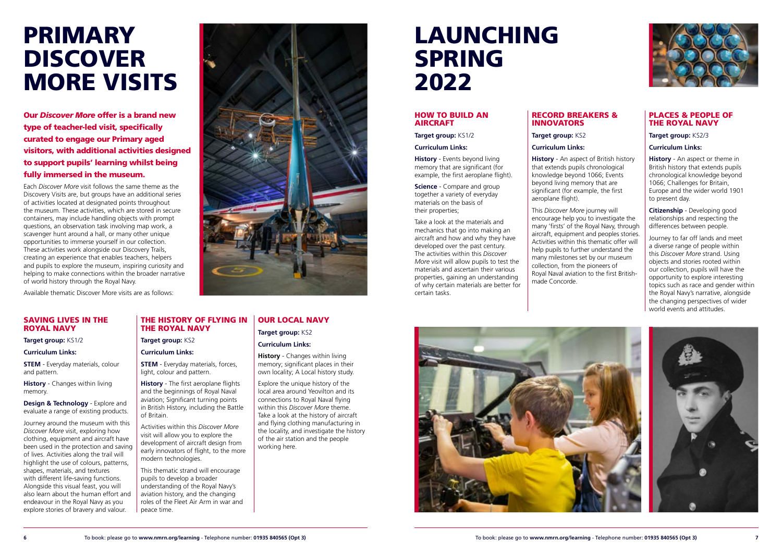![](_page_3_Picture_39.jpeg)

**STEM** - Everyday materials, colour and pattern.

### SAVING LIVES IN THE ROYAL NAVY

**Design & Technology** - Explore and evaluate a range of existing products.

**Target group:** KS1/2

**Curriculum Links:**

**History** - Changes within living memory.

Journey around the museum with this *Discover More* visit, exploring how clothing, equipment and aircraft have been used in the protection and saving of lives. Activities along the trail will highlight the use of colours, patterns, shapes, materials, and textures with different life-saving functions. Alongside this visual feast, you will also learn about the human effort and endeavour in the Royal Navy as you explore stories of bravery and valour.

#### PLACES & PEOPLE OF THE ROYAL NAVY

#### **Target group:** KS2/3

### **Curriculum Links:**

**History** - An aspect or theme in British history that extends pupils chronological knowledge beyond 1066; Challenges for Britain, Europe and the wider world 1901 to present day.

**Citizenship** - Developing good relationships and respecting the differences between people.

**STEM** - Everyday materials, forces, light, colour and pattern.

Journey to far off lands and meet a diverse range of people within this *Discover More* strand. Using objects and stories rooted within our collection, pupils will have the opportunity to explore interesting topics such as race and gender within the Royal Navy's narrative, alongside the changing perspectives of wider world events and attitudes.

![](_page_3_Picture_47.jpeg)

Our *Discover More* offer is a brand new type of teacher-led visit, specifically curated to engage our Primary aged visitors, with additional activities designed to support pupils' learning whilst being fully immersed in the museum.

Each *Discover More* visit follows the same theme as the Discovery Visits are, but groups have an additional series of activities located at designated points throughout the museum. These activities, which are stored in secure containers, may include handling objects with prompt questions, an observation task involving map work, a scavenger hunt around a hall, or many other unique opportunities to immerse yourself in our collection. These activities work alongside our Discovery Trails, creating an experience that enables teachers, helpers and pupils to explore the museum, inspiring curiosity and helping to make connections within the broader narrative of world history through the Royal Navy.

Available thematic Discover More visits are as follows:

### THE HISTORY OF FLYING IN THE ROYAL NAVY

**Target group:** KS2

#### **Curriculum Links:**

**History** - The first aeroplane flights and the beginnings of Royal Naval aviation; Significant turning points in British History, including the Battle of Britain.

Activities within this *Discover More* visit will allow you to explore the development of aircraft design from early innovators of flight, to the more modern technologies.

This thematic strand will encourage pupils to develop a broader understanding of the Royal Navy's aviation history, and the changing roles of the Fleet Air Arm in war and peace time.

### OUR LOCAL NAVY

**Target group: KS2** 

### **Curriculum Links:**

**History** - Changes within living memory; significant places in their own locality; A Local history study.

Explore the unique history of the local area around Yeovilton and its connections to Royal Naval flying within this *Discover More* theme. Take a look at the history of aircraft and flying clothing manufacturing in the locality, and investigate the history of the air station and the people working here.

#### HOW TO BUILD AN AIRCRAFT

**Target group:** KS1/2

### **Curriculum Links:**

**History** - Events beyond living memory that are significant (for example, the first aeroplane flight).

**Science** - Compare and group together a variety of everyday materials on the basis of their properties;

Take a look at the materials and mechanics that go into making an aircraft and how and why they have developed over the past century. The activities within this *Discover More* visit will allow pupils to test the materials and ascertain their various properties, gaining an understanding of why certain materials are better for certain tasks.

### RECORD BREAKERS & INNOVATORS

**Target group:** KS2

### **Curriculum Links:**

**History** - An aspect of British history that extends pupils chronological knowledge beyond 1066; Events beyond living memory that are significant (for example, the first aeroplane flight).

This *Discover More* journey will encourage help you to investigate the many 'firsts' of the Royal Navy, through aircraft, equipment and peoples stories. Activities within this thematic offer will help pupils to further understand the many milestones set by our museum collection, from the pioneers of Royal Naval aviation to the first Britishmade Concorde.

![](_page_3_Picture_35.jpeg)

### <span id="page-3-0"></span>PRIMARY DISCOVER MORE VISITS

### LAUNCHING SPRING 2022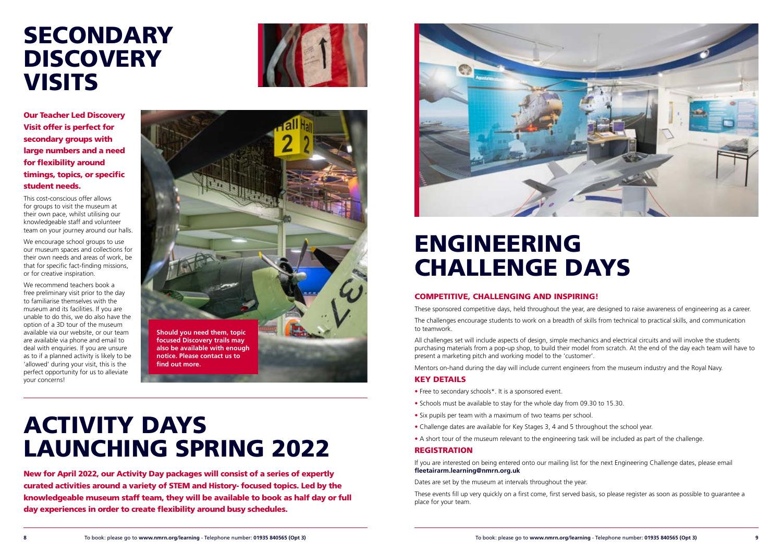![](_page_4_Picture_29.jpeg)

## ACTIVITY DAYS LAUNCHING SPRING 2022

### COMPETITIVE, CHALLENGING AND INSPIRING!

These sponsored competitive days, held throughout the year, are designed to raise awareness of engineering as a career.

The challenges encourage students to work on a breadth of skills from technical to practical skills, and communication to teamwork.

All challenges set will include aspects of design, simple mechanics and electrical circuits and will involve the students purchasing materials from a pop-up shop, to build their model from scratch. At the end of the day each team will have to present a marketing pitch and working model to the 'customer'.

Mentors on-hand during the day will include current engineers from the museum industry and the Royal Navy.

### KEY DETAILS

- Free to secondary schools\*. It is a sponsored event.
- Schools must be available to stay for the whole day from 09.30 to 15.30.
- Six pupils per team with a maximum of two teams per school.
- Challenge dates are available for Key Stages 3, 4 and 5 throughout the school year.
- A short tour of the museum relevant to the engineering task will be included as part of the challenge.

### **REGISTRATION**

### <span id="page-4-0"></span>SECONDARY **DISCOVERY VISITS**

![](_page_4_Picture_1.jpeg)

If you are interested on being entered onto our mailing list for the next Engineering Challenge dates, please email **fleetairarm.learning@nmrn.org.uk**

Dates are set by the museum at intervals throughout the year.

These events fill up very quickly on a first come, first served basis, so please register as soon as possible to guarantee a place for your team.

### ENGINEERING CHALLENGE DAYS

Our Teacher Led Discovery Visit offer is perfect for secondary groups with large numbers and a need for flexibility around timings, topics, or specific student needs.

This cost-conscious offer allows for groups to visit the museum at their own pace, whilst utilising our knowledgeable staff and volunteer team on your journey around our halls.

We encourage school groups to use our museum spaces and collections for their own needs and areas of work, be that for specific fact-finding missions, or for creative inspiration.

We recommend teachers book a free preliminary visit prior to the day to familiarise themselves with the museum and its facilities. If you are unable to do this, we do also have the option of a 3D tour of the museum available via our website, or our team are available via phone and email to deal with enquiries. If you are unsure as to if a planned activity is likely to be 'allowed' during your visit, this is the perfect opportunity for us to alleviate your concerns!

New for April 2022, our Activity Day packages will consist of a series of expertly curated activities around a variety of STEM and History- focused topics. Led by the knowledgeable museum staff team, they will be available to book as half day or full day experiences in order to create flexibility around busy schedules.

![](_page_4_Picture_9.jpeg)

![](_page_4_Picture_6.jpeg)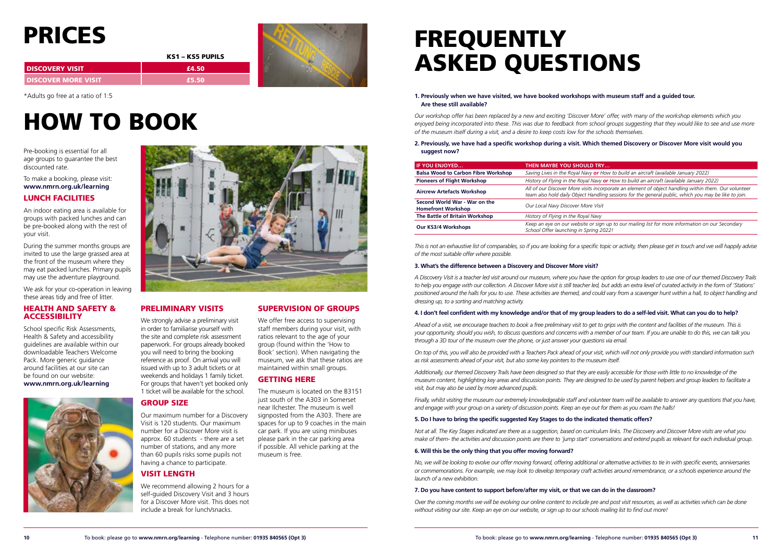![](_page_5_Picture_46.jpeg)

Pre-booking is essential for all age groups to guarantee the best discounted rate.

To make a booking, please visit: **www.nmrn.org.uk/learning**

### LUNCH FACILITIES

### HEALTH AND SAFETY & **ACCESSIBILITY**

An indoor eating area is available for groups with packed lunches and can be pre-booked along with the rest of your visit.

During the summer months groups are invited to use the large grassed area at the front of the museum where they may eat packed lunches. Primary pupils may use the adventure playground.

We ask for your co-operation in leaving these areas tidy and free of litter.

School specific Risk Assessments, Health & Safety and accessibility guidelines are available within our downloadable Teachers Welcome Pack. More generic guidance around facilities at our site can be found on our website: **www.nmrn.org.uk/learning**

![](_page_5_Picture_12.jpeg)

![](_page_5_Picture_13.jpeg)

## FREQUENTLY ASKED QUESTIONS

## <span id="page-5-0"></span>PRICES

|                          | KS1 – KS5 PUPILS |  |
|--------------------------|------------------|--|
| <b>I DISCOVERY VISIT</b> | £4.50            |  |
| I DISCOVER MORE VISIT    | £5.50            |  |

\*Adults go free at a ratio of 1:5

We strongly advise a preliminary visit in order to familiarise yourself with the site and complete risk assessment paperwork. For groups already booked you will need to bring the booking reference as proof. On arrival you will issued with up to 3 adult tickets or at weekends and holidays 1 family ticket. For groups that haven't yet booked only 1 ticket will be available for the school.

We offer free access to supervising staff members during your visit, with ratios relevant to the age of your group (found within the 'How to Book' section). When navigating the museum, we ask that these ratios are maintained within small groups.

| <b>IF YOU ENJOYED</b>                                      | THEN MAYBE YOU SHOULD TRY                                                                                                                                                                                    |
|------------------------------------------------------------|--------------------------------------------------------------------------------------------------------------------------------------------------------------------------------------------------------------|
| <b>Balsa Wood to Carbon Fibre Workshop</b>                 | Saving Lives in the Royal Navy or How to build an aircraft (available January 2022)                                                                                                                          |
| <b>Pioneers of Flight Workshop</b>                         | History of Flying in the Royal Navy or How to build an aircraft (available January 2022)                                                                                                                     |
| <b>Aircrew Artefacts Workshop</b>                          | All of our Discover More visits incorporate an element of object handling within them. Our volunteer<br>team also hold daily Object Handling sessions for the general public, which you may be like to join. |
| Second World War - War on the<br><b>Homefront Workshop</b> | Our Local Navy Discover More Visit                                                                                                                                                                           |
| The Battle of Britain Workshop                             | History of Flying in the Royal Navy                                                                                                                                                                          |
| <b>Our KS3/4 Workshops</b>                                 | Keep an eye on our website or sign up to our mailing list for more information on our Secondary<br>School Offer launching in Spring 2022!                                                                    |
|                                                            |                                                                                                                                                                                                              |

## HOW TO BOOK

### PRELIMINARY VISITS

This is not an exhaustive list of comparables, so if you are looking for a specific topic or activity, then please get in touch and we will happily advise *of the most suitable offer where possible.*

### GROUP SIZE

Our maximum number for a Discovery Visit is 120 students. Our maximum number for a Discover More visit is approx. 60 students - there are a set number of stations, and any more than 60 pupils risks some pupils not having a chance to participate.

### VISIT LENGTH

We recommend allowing 2 hours for a self-guided Discovery Visit and 3 hours for a Discover More visit. This does not include a break for lunch/snacks.

### SUPERVISION OF GROUPS

Finally, whilst visiting the museum our extremely knowledgeable staff and volunteer team will be available to answer any questions that you have. *and engage with your group on a variety of discussion points. Keep an eye out for them as you roam the halls!*

### GETTING HERE

The museum is located on the B3151 just south of the A303 in Somerset near Ilchester. The museum is well signposted from the A303. There are spaces for up to 9 coaches in the main car park. If you are using minibuses please park in the car parking area if possible. All vehicle parking at the museum is free.

### **1. Previously when we have visited, we have booked workshops with museum staff and a guided tour. Are these still available?**

*Our workshop offer has been replaced by a new and exciting 'Discover More' offer, with many of the workshop elements which you enjoyed being incorporated into these. This was due to feedback from school groups suggesting that they would like to see and use more of the museum itself during a visit, and a desire to keep costs low for the schools themselves.*

#### **2. Previously, we have had a specific workshop during a visit. Which themed Discovery or Discover More visit would you suggest now?**

### **3. What's the difference between a Discovery and Discover More visit?**

*A Discovery Visit is a teacher led visit around our museum, where you have the option for group leaders to use one of our themed Discovery Trails to help you engage with our collection. A Discover More visit is still teacher led, but adds an extra level of curated activity in the form of 'Stations'*  positioned around the halls for you to use. These activities are themed, and could vary from a scavenger hunt within a hall, to object handling and *dressing up, to a sorting and matching activity.*

### **4. I don't feel confident with my knowledge and/or that of my group leaders to do a self-led visit. What can you do to help?**

*Ahead of a visit, we encourage teachers to book a free preliminary visit to get to grips with the content and facilities of the museum. This is your opportunity, should you wish, to discuss questions and concerns with a member of our team. If you are unable to do this, we can talk you through a 3D tour of the museum over the phone, or just answer your questions via email.*

*On top of this, you will also be provided with a Teachers Pack ahead of your visit, which will not only provide you with standard information such as risk assessments ahead of your visit, but also some key pointers to the museum itself.*

*Additionally, our themed Discovery Trails have been designed so that they are easily accessible for those with little to no knowledge of the museum content, highlighting key areas and discussion points. They are designed to be used by parent helpers and group leaders to facilitate a visit, but may also be used by more advanced pupils.*

### **5. Do I have to bring the specific suggested Key Stages to do the indicated thematic offers?**

*Not at all. The Key Stages indicated are there as a suggestion, based on curriculum links. The Discovery and Discover More visits are what you make of them- the activities and discussion points are there to 'jump start' conversations and extend pupils as relevant for each individual group.*

### **6. Will this be the only thing that you offer moving forward?**

*No, we will be looking to evolve our offer moving forward, offering additional or alternative activities to tie in with specific events, anniversaries or commemorations. For example, we may look to develop temporary craft activities around remembrance, or a schools experience around the launch of a new exhibition.*

### **7. Do you have content to support before/after my visit, or that we can do in the classroom?**

*Over the coming months we will be evolving our online content to include pre and post visit resources, as well as activities which can be done without visiting our site. Keep an eye on our website, or sign up to our schools mailing list to find out more!*